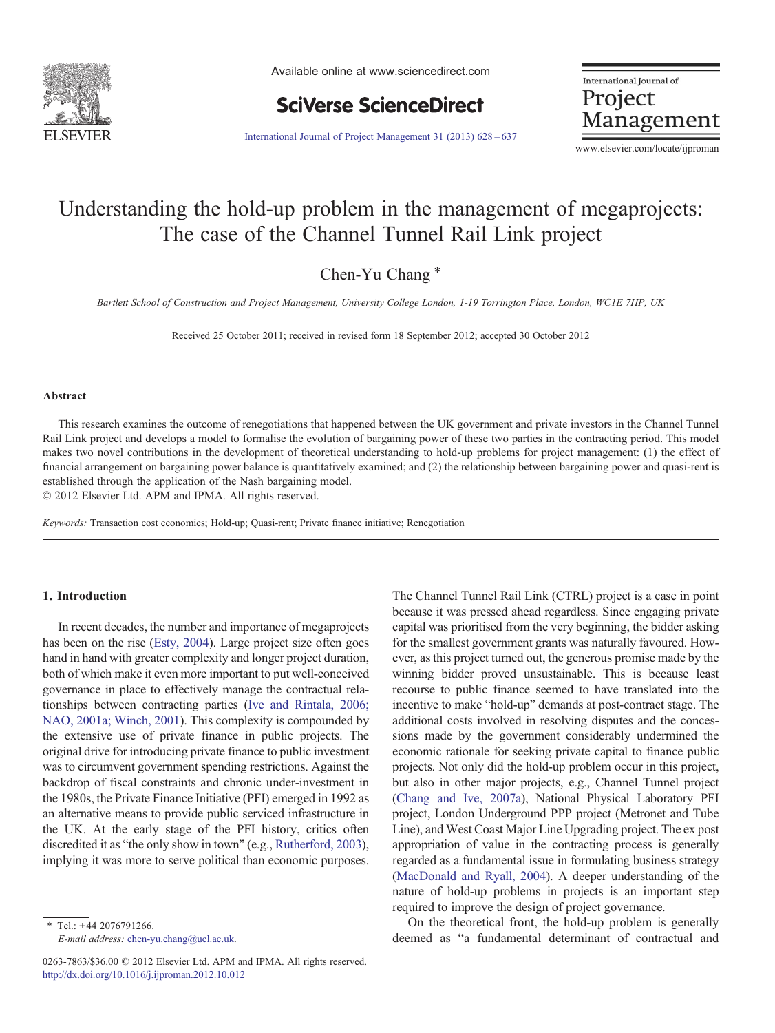

Available online at www.sciencedirect.com



International Journal of Project Management

[International Journal of Project Management 31 \(2013\) 628](http://dx.doi.org/10.1016/j.ijproman.2012.10.012)–637

www.elsevier.com/locate/ijproman

## Understanding the hold-up problem in the management of megaprojects: The case of the Channel Tunnel Rail Link project

Chen-Yu Chang<sup>\*</sup>

Bartlett School of Construction and Project Management, University College London, 1-19 Torrington Place, London, WC1E 7HP, UK

Received 25 October 2011; received in revised form 18 September 2012; accepted 30 October 2012

#### Abstract

This research examines the outcome of renegotiations that happened between the UK government and private investors in the Channel Tunnel Rail Link project and develops a model to formalise the evolution of bargaining power of these two parties in the contracting period. This model makes two novel contributions in the development of theoretical understanding to hold-up problems for project management: (1) the effect of financial arrangement on bargaining power balance is quantitatively examined; and (2) the relationship between bargaining power and quasi-rent is established through the application of the Nash bargaining model.

© 2012 Elsevier Ltd. APM and IPMA. All rights reserved.

Keywords: Transaction cost economics; Hold-up; Quasi-rent; Private finance initiative; Renegotiation

### 1. Introduction

In recent decades, the number and importance of megaprojects has been on the rise [\(Esty, 2004\)](#page--1-0). Large project size often goes hand in hand with greater complexity and longer project duration, both of which make it even more important to put well-conceived governance in place to effectively manage the contractual relationships between contracting parties ([Ive and Rintala, 2006;](#page--1-0) [NAO, 2001a; Winch, 2001](#page--1-0)). This complexity is compounded by the extensive use of private finance in public projects. The original drive for introducing private finance to public investment was to circumvent government spending restrictions. Against the backdrop of fiscal constraints and chronic under-investment in the 1980s, the Private Finance Initiative (PFI) emerged in 1992 as an alternative means to provide public serviced infrastructure in the UK. At the early stage of the PFI history, critics often discredited it as "the only show in town" (e.g., [Rutherford, 2003](#page--1-0)), implying it was more to serve political than economic purposes.

 $*$  Tel.: +44 2076791266. E-mail address: [chen-yu.chang@ucl.ac.uk.](mailto:chen-yu.chang@ucl.ac.uk)

0263-7863/\$36.00 © 2012 Elsevier Ltd. APM and IPMA. All rights reserved. <http://dx.doi.org/10.1016/j.ijproman.2012.10.012>

The Channel Tunnel Rail Link (CTRL) project is a case in point because it was pressed ahead regardless. Since engaging private capital was prioritised from the very beginning, the bidder asking for the smallest government grants was naturally favoured. However, as this project turned out, the generous promise made by the winning bidder proved unsustainable. This is because least recourse to public finance seemed to have translated into the incentive to make "hold-up" demands at post-contract stage. The additional costs involved in resolving disputes and the concessions made by the government considerably undermined the economic rationale for seeking private capital to finance public projects. Not only did the hold-up problem occur in this project, but also in other major projects, e.g., Channel Tunnel project ([Chang and Ive, 2007a\)](#page--1-0), National Physical Laboratory PFI project, London Underground PPP project (Metronet and Tube Line), and West Coast Major Line Upgrading project. The ex post appropriation of value in the contracting process is generally regarded as a fundamental issue in formulating business strategy ([MacDonald and Ryall, 2004\)](#page--1-0). A deeper understanding of the nature of hold-up problems in projects is an important step required to improve the design of project governance.

On the theoretical front, the hold-up problem is generally deemed as "a fundamental determinant of contractual and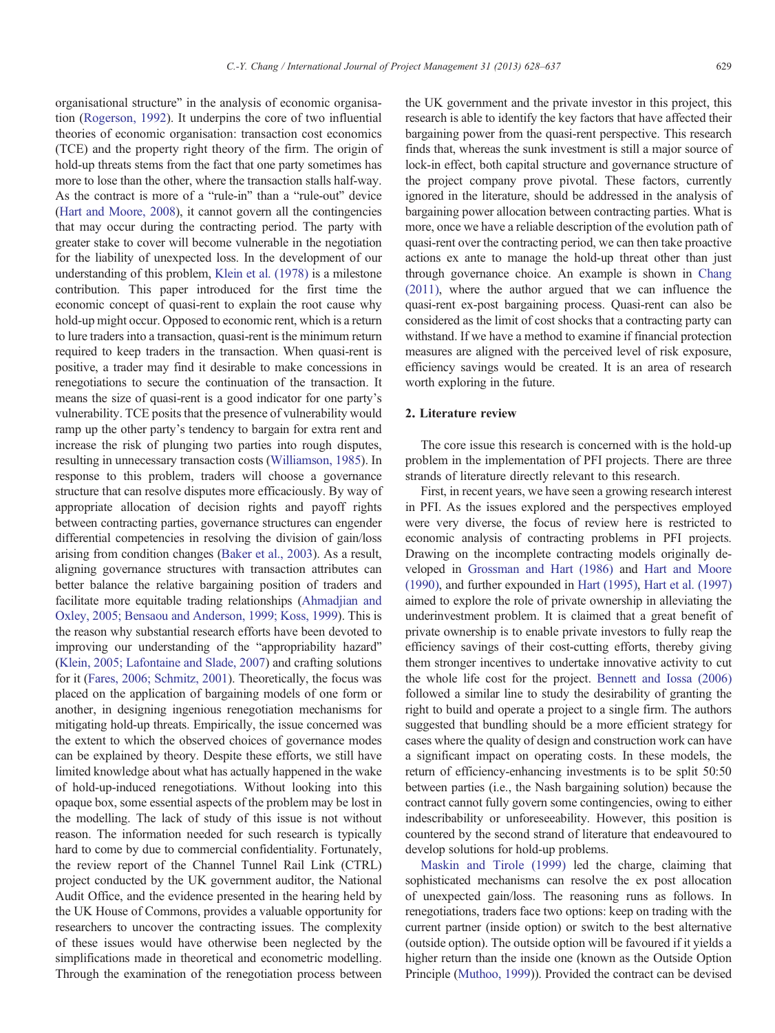organisational structure" in the analysis of economic organisation [\(Rogerson, 1992](#page--1-0)). It underpins the core of two influential theories of economic organisation: transaction cost economics (TCE) and the property right theory of the firm. The origin of hold-up threats stems from the fact that one party sometimes has more to lose than the other, where the transaction stalls half-way. As the contract is more of a "rule-in" than a "rule-out" device ([Hart and Moore, 2008\)](#page--1-0), it cannot govern all the contingencies that may occur during the contracting period. The party with greater stake to cover will become vulnerable in the negotiation for the liability of unexpected loss. In the development of our understanding of this problem, [Klein et al. \(1978\)](#page--1-0) is a milestone contribution. This paper introduced for the first time the economic concept of quasi-rent to explain the root cause why hold-up might occur. Opposed to economic rent, which is a return to lure traders into a transaction, quasi-rent is the minimum return required to keep traders in the transaction. When quasi-rent is positive, a trader may find it desirable to make concessions in renegotiations to secure the continuation of the transaction. It means the size of quasi-rent is a good indicator for one party's vulnerability. TCE posits that the presence of vulnerability would ramp up the other party's tendency to bargain for extra rent and increase the risk of plunging two parties into rough disputes, resulting in unnecessary transaction costs ([Williamson, 1985\)](#page--1-0). In response to this problem, traders will choose a governance structure that can resolve disputes more efficaciously. By way of appropriate allocation of decision rights and payoff rights between contracting parties, governance structures can engender differential competencies in resolving the division of gain/loss arising from condition changes [\(Baker et al., 2003](#page--1-0)). As a result, aligning governance structures with transaction attributes can better balance the relative bargaining position of traders and facilitate more equitable trading relationships [\(Ahmadjian and](#page--1-0) [Oxley, 2005; Bensaou and Anderson, 1999; Koss, 1999\)](#page--1-0). This is the reason why substantial research efforts have been devoted to improving our understanding of the "appropriability hazard" ([Klein, 2005; Lafontaine and Slade, 2007\)](#page--1-0) and crafting solutions for it ([Fares, 2006; Schmitz, 2001](#page--1-0)). Theoretically, the focus was placed on the application of bargaining models of one form or another, in designing ingenious renegotiation mechanisms for mitigating hold-up threats. Empirically, the issue concerned was the extent to which the observed choices of governance modes can be explained by theory. Despite these efforts, we still have limited knowledge about what has actually happened in the wake of hold-up-induced renegotiations. Without looking into this opaque box, some essential aspects of the problem may be lost in the modelling. The lack of study of this issue is not without reason. The information needed for such research is typically hard to come by due to commercial confidentiality. Fortunately, the review report of the Channel Tunnel Rail Link (CTRL) project conducted by the UK government auditor, the National Audit Office, and the evidence presented in the hearing held by the UK House of Commons, provides a valuable opportunity for researchers to uncover the contracting issues. The complexity

of these issues would have otherwise been neglected by the simplifications made in theoretical and econometric modelling. Through the examination of the renegotiation process between the UK government and the private investor in this project, this research is able to identify the key factors that have affected their bargaining power from the quasi-rent perspective. This research finds that, whereas the sunk investment is still a major source of lock-in effect, both capital structure and governance structure of the project company prove pivotal. These factors, currently ignored in the literature, should be addressed in the analysis of bargaining power allocation between contracting parties. What is more, once we have a reliable description of the evolution path of quasi-rent over the contracting period, we can then take proactive actions ex ante to manage the hold-up threat other than just through governance choice. An example is shown in [Chang](#page--1-0) [\(2011\)](#page--1-0), where the author argued that we can influence the quasi-rent ex-post bargaining process. Quasi-rent can also be considered as the limit of cost shocks that a contracting party can withstand. If we have a method to examine if financial protection measures are aligned with the perceived level of risk exposure, efficiency savings would be created. It is an area of research worth exploring in the future.

### 2. Literature review

The core issue this research is concerned with is the hold-up problem in the implementation of PFI projects. There are three strands of literature directly relevant to this research.

First, in recent years, we have seen a growing research interest in PFI. As the issues explored and the perspectives employed were very diverse, the focus of review here is restricted to economic analysis of contracting problems in PFI projects. Drawing on the incomplete contracting models originally developed in [Grossman and Hart \(1986\)](#page--1-0) and [Hart and Moore](#page--1-0) [\(1990\)](#page--1-0), and further expounded in [Hart \(1995\),](#page--1-0) [Hart et al. \(1997\)](#page--1-0) aimed to explore the role of private ownership in alleviating the underinvestment problem. It is claimed that a great benefit of private ownership is to enable private investors to fully reap the efficiency savings of their cost-cutting efforts, thereby giving them stronger incentives to undertake innovative activity to cut the whole life cost for the project. [Bennett and Iossa \(2006\)](#page--1-0) followed a similar line to study the desirability of granting the right to build and operate a project to a single firm. The authors suggested that bundling should be a more efficient strategy for cases where the quality of design and construction work can have a significant impact on operating costs. In these models, the return of efficiency-enhancing investments is to be split 50:50 between parties (i.e., the Nash bargaining solution) because the contract cannot fully govern some contingencies, owing to either indescribability or unforeseeability. However, this position is countered by the second strand of literature that endeavoured to develop solutions for hold-up problems.

[Maskin and Tirole \(1999\)](#page--1-0) led the charge, claiming that sophisticated mechanisms can resolve the ex post allocation of unexpected gain/loss. The reasoning runs as follows. In renegotiations, traders face two options: keep on trading with the current partner (inside option) or switch to the best alternative (outside option). The outside option will be favoured if it yields a higher return than the inside one (known as the Outside Option Principle [\(Muthoo, 1999\)](#page--1-0)). Provided the contract can be devised